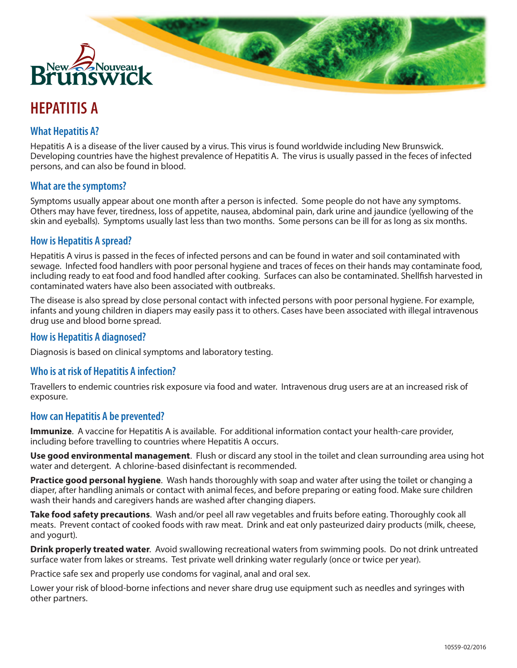

# **HEPATITIS A**

# **What Hepatitis A?**

Hepatitis A is a disease of the liver caused by a virus. This virus is found worldwide including New Brunswick. Developing countries have the highest prevalence of Hepatitis A. The virus is usually passed in the feces of infected persons, and can also be found in blood.

#### **What are the symptoms?**

Symptoms usually appear about one month after a person is infected. Some people do not have any symptoms. Others may have fever, tiredness, loss of appetite, nausea, abdominal pain, dark urine and jaundice (yellowing of the skin and eyeballs). Symptoms usually last less than two months. Some persons can be ill for as long as six months.

## **How is Hepatitis A spread?**

Hepatitis A virus is passed in the feces of infected persons and can be found in water and soil contaminated with sewage. Infected food handlers with poor personal hygiene and traces of feces on their hands may contaminate food, including ready to eat food and food handled after cooking. Surfaces can also be contaminated. Shellfish harvested in contaminated waters have also been associated with outbreaks.

The disease is also spread by close personal contact with infected persons with poor personal hygiene. For example, infants and young children in diapers may easily pass it to others. Cases have been associated with illegal intravenous drug use and blood borne spread.

## **How is Hepatitis A diagnosed?**

Diagnosis is based on clinical symptoms and laboratory testing.

## **Who is at risk of Hepatitis A infection?**

Travellers to endemic countries risk exposure via food and water. Intravenous drug users are at an increased risk of exposure.

#### **How can Hepatitis A be prevented?**

**Immunize**. A vaccine for Hepatitis A is available. For additional information contact your health-care provider, including before travelling to countries where Hepatitis A occurs.

**Use good environmental management**. Flush or discard any stool in the toilet and clean surrounding area using hot water and detergent. A chlorine-based disinfectant is recommended.

**Practice good personal hygiene**. Wash hands thoroughly with soap and water after using the toilet or changing a diaper, after handling animals or contact with animal feces, and before preparing or eating food. Make sure children wash their hands and caregivers hands are washed after changing diapers.

**Take food safety precautions**. Wash and/or peel all raw vegetables and fruits before eating. Thoroughly cook all meats. Prevent contact of cooked foods with raw meat. Drink and eat only pasteurized dairy products (milk, cheese, and yogurt).

**Drink properly treated water**. Avoid swallowing recreational waters from swimming pools. Do not drink untreated surface water from lakes or streams. Test private well drinking water regularly (once or twice per year).

Practice safe sex and properly use condoms for vaginal, anal and oral sex.

Lower your risk of blood-borne infections and never share drug use equipment such as needles and syringes with other partners.